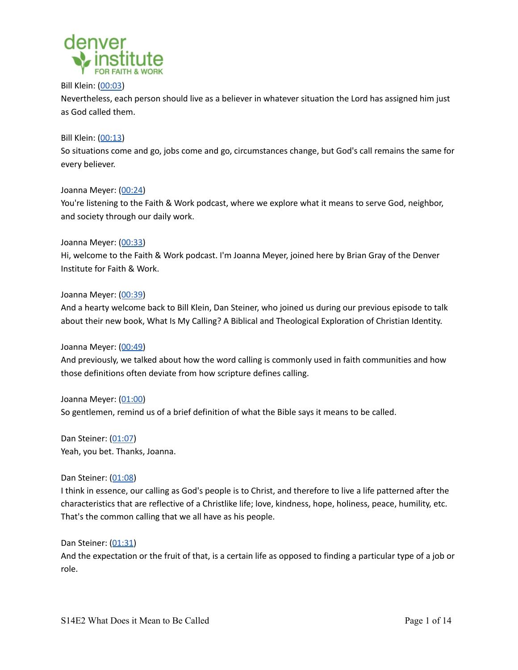

Bill Klein: ([00:03](https://www.rev.com/transcript-editor/Edit?token=YK2_bzo2Cj1uKcTnlsJisCzAT3r5G8j8dC2RcM11Xlc__DtZuqUBXcPuOx0AaV1D0jkbozO2xHH14DT8H5QKEz3Mdc4&loadFrom=PastedDeeplink&ts=3.65))

Nevertheless, each person should live as a believer in whatever situation the Lord has assigned him just as God called them.

## Bill Klein: ([00:13](https://www.rev.com/transcript-editor/Edit?token=YK2_bzo2Cj1uKcTnlsJisCzAT3r5G8j8dC2RcM11Xlc__DtZuqUBXcPuOx0AaV1D0jkbozO2xHH14DT8H5QKEz3Mdc4&loadFrom=PastedDeeplink&ts=13.33))

So situations come and go, jobs come and go, circumstances change, but God's call remains the same for every believer.

## Joanna Meyer: ([00:24\)](https://www.rev.com/transcript-editor/Edit?token=YK2_bzo2Cj1uKcTnlsJisCzAT3r5G8j8dC2RcM11Xlc__DtZuqUBXcPuOx0AaV1D0jkbozO2xHH14DT8H5QKEz3Mdc4&loadFrom=PastedDeeplink&ts=24.19)

You're listening to the Faith & Work podcast, where we explore what it means to serve God, neighbor, and society through our daily work.

## Joanna Meyer: ([00:33\)](https://www.rev.com/transcript-editor/Edit?token=YK2_bzo2Cj1uKcTnlsJisCzAT3r5G8j8dC2RcM11Xlc__DtZuqUBXcPuOx0AaV1D0jkbozO2xHH14DT8H5QKEz3Mdc4&loadFrom=PastedDeeplink&ts=33.06)

Hi, welcome to the Faith & Work podcast. I'm Joanna Meyer, joined here by Brian Gray of the Denver Institute for Faith & Work.

## Joanna Meyer: ([00:39\)](https://www.rev.com/transcript-editor/Edit?token=YK2_bzo2Cj1uKcTnlsJisCzAT3r5G8j8dC2RcM11Xlc__DtZuqUBXcPuOx0AaV1D0jkbozO2xHH14DT8H5QKEz3Mdc4&loadFrom=PastedDeeplink&ts=39.02)

And a hearty welcome back to Bill Klein, Dan Steiner, who joined us during our previous episode to talk about their new book, What Is My Calling? A Biblical and Theological Exploration of Christian Identity.

# Joanna Meyer: ([00:49\)](https://www.rev.com/transcript-editor/Edit?token=YK2_bzo2Cj1uKcTnlsJisCzAT3r5G8j8dC2RcM11Xlc__DtZuqUBXcPuOx0AaV1D0jkbozO2xHH14DT8H5QKEz3Mdc4&loadFrom=PastedDeeplink&ts=49.84)

And previously, we talked about how the word calling is commonly used in faith communities and how those definitions often deviate from how scripture defines calling.

Joanna Meyer: ([01:00\)](https://www.rev.com/transcript-editor/Edit?token=YK2_bzo2Cj1uKcTnlsJisCzAT3r5G8j8dC2RcM11Xlc__DtZuqUBXcPuOx0AaV1D0jkbozO2xHH14DT8H5QKEz3Mdc4&loadFrom=PastedDeeplink&ts=60.47) So gentlemen, remind us of a brief definition of what the Bible says it means to be called.

Dan Steiner: ([01:07\)](https://www.rev.com/transcript-editor/Edit?token=YK2_bzo2Cj1uKcTnlsJisCzAT3r5G8j8dC2RcM11Xlc__DtZuqUBXcPuOx0AaV1D0jkbozO2xHH14DT8H5QKEz3Mdc4&loadFrom=PastedDeeplink&ts=67.05) Yeah, you bet. Thanks, Joanna.

# Dan Steiner: ([01:08\)](https://www.rev.com/transcript-editor/Edit?token=YK2_bzo2Cj1uKcTnlsJisCzAT3r5G8j8dC2RcM11Xlc__DtZuqUBXcPuOx0AaV1D0jkbozO2xHH14DT8H5QKEz3Mdc4&loadFrom=PastedDeeplink&ts=68.24)

I think in essence, our calling as God's people is to Christ, and therefore to live a life patterned after the characteristics that are reflective of a Christlike life; love, kindness, hope, holiness, peace, humility, etc. That's the common calling that we all have as his people.

#### Dan Steiner: ([01:31\)](https://www.rev.com/transcript-editor/Edit?token=YK2_bzo2Cj1uKcTnlsJisCzAT3r5G8j8dC2RcM11Xlc__DtZuqUBXcPuOx0AaV1D0jkbozO2xHH14DT8H5QKEz3Mdc4&loadFrom=PastedDeeplink&ts=91.34)

And the expectation or the fruit of that, is a certain life as opposed to finding a particular type of a job or role.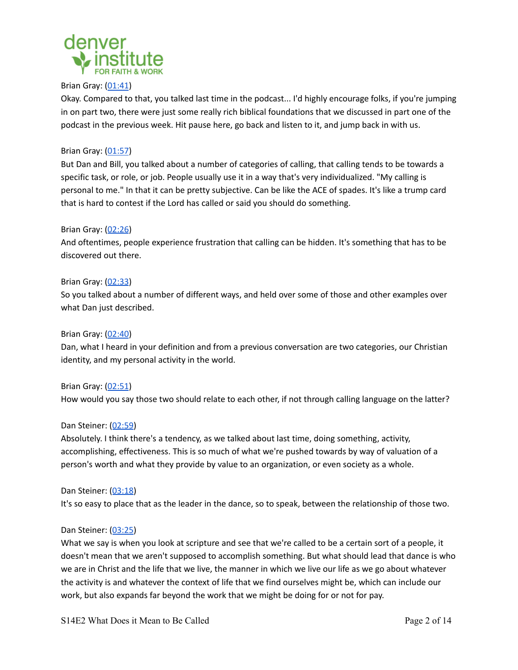

## Brian Gray: [\(01:41](https://www.rev.com/transcript-editor/Edit?token=YK2_bzo2Cj1uKcTnlsJisCzAT3r5G8j8dC2RcM11Xlc__DtZuqUBXcPuOx0AaV1D0jkbozO2xHH14DT8H5QKEz3Mdc4&loadFrom=PastedDeeplink&ts=101.46))

Okay. Compared to that, you talked last time in the podcast... I'd highly encourage folks, if you're jumping in on part two, there were just some really rich biblical foundations that we discussed in part one of the podcast in the previous week. Hit pause here, go back and listen to it, and jump back in with us.

# Brian Gray: [\(01:57](https://www.rev.com/transcript-editor/Edit?token=YK2_bzo2Cj1uKcTnlsJisCzAT3r5G8j8dC2RcM11Xlc__DtZuqUBXcPuOx0AaV1D0jkbozO2xHH14DT8H5QKEz3Mdc4&loadFrom=PastedDeeplink&ts=117.15))

But Dan and Bill, you talked about a number of categories of calling, that calling tends to be towards a specific task, or role, or job. People usually use it in a way that's very individualized. "My calling is personal to me." In that it can be pretty subjective. Can be like the ACE of spades. It's like a trump card that is hard to contest if the Lord has called or said you should do something.

# Brian Gray: [\(02:26](https://www.rev.com/transcript-editor/Edit?token=YK2_bzo2Cj1uKcTnlsJisCzAT3r5G8j8dC2RcM11Xlc__DtZuqUBXcPuOx0AaV1D0jkbozO2xHH14DT8H5QKEz3Mdc4&loadFrom=PastedDeeplink&ts=146.17))

And oftentimes, people experience frustration that calling can be hidden. It's something that has to be discovered out there.

## Brian Gray: [\(02:33](https://www.rev.com/transcript-editor/Edit?token=YK2_bzo2Cj1uKcTnlsJisCzAT3r5G8j8dC2RcM11Xlc__DtZuqUBXcPuOx0AaV1D0jkbozO2xHH14DT8H5QKEz3Mdc4&loadFrom=PastedDeeplink&ts=153.02))

So you talked about a number of different ways, and held over some of those and other examples over what Dan just described.

## Brian Gray: [\(02:40](https://www.rev.com/transcript-editor/Edit?token=YK2_bzo2Cj1uKcTnlsJisCzAT3r5G8j8dC2RcM11Xlc__DtZuqUBXcPuOx0AaV1D0jkbozO2xHH14DT8H5QKEz3Mdc4&loadFrom=PastedDeeplink&ts=160.07))

Dan, what I heard in your definition and from a previous conversation are two categories, our Christian identity, and my personal activity in the world.

Brian Gray: [\(02:51](https://www.rev.com/transcript-editor/Edit?token=YK2_bzo2Cj1uKcTnlsJisCzAT3r5G8j8dC2RcM11Xlc__DtZuqUBXcPuOx0AaV1D0jkbozO2xHH14DT8H5QKEz3Mdc4&loadFrom=PastedDeeplink&ts=171.51)) How would you say those two should relate to each other, if not through calling language on the latter?

#### Dan Steiner: ([02:59\)](https://www.rev.com/transcript-editor/Edit?token=YK2_bzo2Cj1uKcTnlsJisCzAT3r5G8j8dC2RcM11Xlc__DtZuqUBXcPuOx0AaV1D0jkbozO2xHH14DT8H5QKEz3Mdc4&loadFrom=PastedDeeplink&ts=179.64)

Absolutely. I think there's a tendency, as we talked about last time, doing something, activity, accomplishing, effectiveness. This is so much of what we're pushed towards by way of valuation of a person's worth and what they provide by value to an organization, or even society as a whole.

#### Dan Steiner: ([03:18\)](https://www.rev.com/transcript-editor/Edit?token=YK2_bzo2Cj1uKcTnlsJisCzAT3r5G8j8dC2RcM11Xlc__DtZuqUBXcPuOx0AaV1D0jkbozO2xHH14DT8H5QKEz3Mdc4&loadFrom=PastedDeeplink&ts=198.29)

It's so easy to place that as the leader in the dance, so to speak, between the relationship of those two.

#### Dan Steiner: ([03:25\)](https://www.rev.com/transcript-editor/Edit?token=YK2_bzo2Cj1uKcTnlsJisCzAT3r5G8j8dC2RcM11Xlc__DtZuqUBXcPuOx0AaV1D0jkbozO2xHH14DT8H5QKEz3Mdc4&loadFrom=PastedDeeplink&ts=205.17)

What we say is when you look at scripture and see that we're called to be a certain sort of a people, it doesn't mean that we aren't supposed to accomplish something. But what should lead that dance is who we are in Christ and the life that we live, the manner in which we live our life as we go about whatever the activity is and whatever the context of life that we find ourselves might be, which can include our work, but also expands far beyond the work that we might be doing for or not for pay.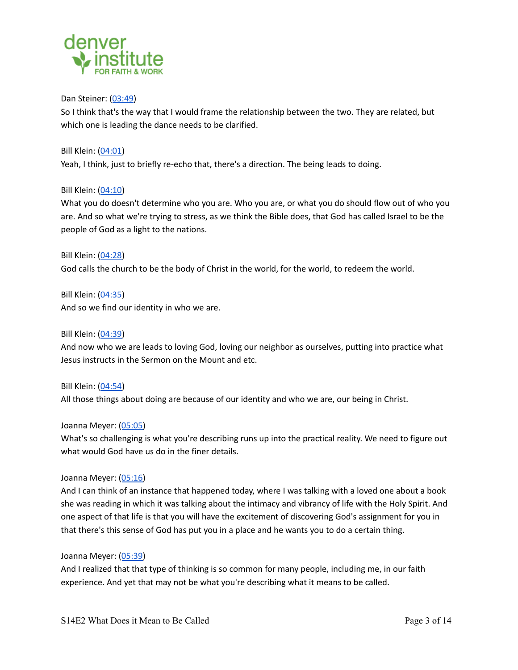

#### Dan Steiner: ([03:49\)](https://www.rev.com/transcript-editor/Edit?token=YK2_bzo2Cj1uKcTnlsJisCzAT3r5G8j8dC2RcM11Xlc__DtZuqUBXcPuOx0AaV1D0jkbozO2xHH14DT8H5QKEz3Mdc4&loadFrom=PastedDeeplink&ts=229.78)

So I think that's the way that I would frame the relationship between the two. They are related, but which one is leading the dance needs to be clarified.

Bill Klein: ([04:01](https://www.rev.com/transcript-editor/Edit?token=YK2_bzo2Cj1uKcTnlsJisCzAT3r5G8j8dC2RcM11Xlc__DtZuqUBXcPuOx0AaV1D0jkbozO2xHH14DT8H5QKEz3Mdc4&loadFrom=PastedDeeplink&ts=241.06)) Yeah, I think, just to briefly re-echo that, there's a direction. The being leads to doing.

## Bill Klein: ([04:10](https://www.rev.com/transcript-editor/Edit?token=YK2_bzo2Cj1uKcTnlsJisCzAT3r5G8j8dC2RcM11Xlc__DtZuqUBXcPuOx0AaV1D0jkbozO2xHH14DT8H5QKEz3Mdc4&loadFrom=PastedDeeplink&ts=250.34))

What you do doesn't determine who you are. Who you are, or what you do should flow out of who you are. And so what we're trying to stress, as we think the Bible does, that God has called Israel to be the people of God as a light to the nations.

Bill Klein: ([04:28](https://www.rev.com/transcript-editor/Edit?token=YK2_bzo2Cj1uKcTnlsJisCzAT3r5G8j8dC2RcM11Xlc__DtZuqUBXcPuOx0AaV1D0jkbozO2xHH14DT8H5QKEz3Mdc4&loadFrom=PastedDeeplink&ts=268.16)) God calls the church to be the body of Christ in the world, for the world, to redeem the world.

Bill Klein: ([04:35](https://www.rev.com/transcript-editor/Edit?token=YK2_bzo2Cj1uKcTnlsJisCzAT3r5G8j8dC2RcM11Xlc__DtZuqUBXcPuOx0AaV1D0jkbozO2xHH14DT8H5QKEz3Mdc4&loadFrom=PastedDeeplink&ts=275.86)) And so we find our identity in who we are.

Bill Klein: ([04:39](https://www.rev.com/transcript-editor/Edit?token=YK2_bzo2Cj1uKcTnlsJisCzAT3r5G8j8dC2RcM11Xlc__DtZuqUBXcPuOx0AaV1D0jkbozO2xHH14DT8H5QKEz3Mdc4&loadFrom=PastedDeeplink&ts=279.75)) And now who we are leads to loving God, loving our neighbor as ourselves, putting into practice what Jesus instructs in the Sermon on the Mount and etc.

Bill Klein: ([04:54](https://www.rev.com/transcript-editor/Edit?token=YK2_bzo2Cj1uKcTnlsJisCzAT3r5G8j8dC2RcM11Xlc__DtZuqUBXcPuOx0AaV1D0jkbozO2xHH14DT8H5QKEz3Mdc4&loadFrom=PastedDeeplink&ts=294.35)) All those things about doing are because of our identity and who we are, our being in Christ.

#### Joanna Meyer: ([05:05\)](https://www.rev.com/transcript-editor/Edit?token=YK2_bzo2Cj1uKcTnlsJisCzAT3r5G8j8dC2RcM11Xlc__DtZuqUBXcPuOx0AaV1D0jkbozO2xHH14DT8H5QKEz3Mdc4&loadFrom=PastedDeeplink&ts=305.38)

What's so challenging is what you're describing runs up into the practical reality. We need to figure out what would God have us do in the finer details.

# Joanna Meyer: ([05:16\)](https://www.rev.com/transcript-editor/Edit?token=YK2_bzo2Cj1uKcTnlsJisCzAT3r5G8j8dC2RcM11Xlc__DtZuqUBXcPuOx0AaV1D0jkbozO2xHH14DT8H5QKEz3Mdc4&loadFrom=PastedDeeplink&ts=316.2)

And I can think of an instance that happened today, where I was talking with a loved one about a book she was reading in which it was talking about the intimacy and vibrancy of life with the Holy Spirit. And one aspect of that life is that you will have the excitement of discovering God's assignment for you in that there's this sense of God has put you in a place and he wants you to do a certain thing.

#### Joanna Meyer: ([05:39\)](https://www.rev.com/transcript-editor/Edit?token=YK2_bzo2Cj1uKcTnlsJisCzAT3r5G8j8dC2RcM11Xlc__DtZuqUBXcPuOx0AaV1D0jkbozO2xHH14DT8H5QKEz3Mdc4&loadFrom=PastedDeeplink&ts=339.08)

And I realized that that type of thinking is so common for many people, including me, in our faith experience. And yet that may not be what you're describing what it means to be called.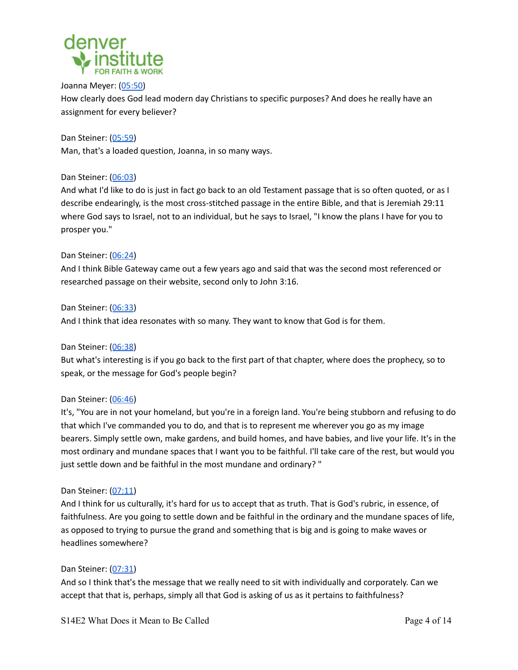

Joanna Meyer: ([05:50\)](https://www.rev.com/transcript-editor/Edit?token=YK2_bzo2Cj1uKcTnlsJisCzAT3r5G8j8dC2RcM11Xlc__DtZuqUBXcPuOx0AaV1D0jkbozO2xHH14DT8H5QKEz3Mdc4&loadFrom=PastedDeeplink&ts=350.62) How clearly does God lead modern day Christians to specific purposes? And does he really have an assignment for every believer?

Dan Steiner: ([05:59\)](https://www.rev.com/transcript-editor/Edit?token=YK2_bzo2Cj1uKcTnlsJisCzAT3r5G8j8dC2RcM11Xlc__DtZuqUBXcPuOx0AaV1D0jkbozO2xHH14DT8H5QKEz3Mdc4&loadFrom=PastedDeeplink&ts=359.86) Man, that's a loaded question, Joanna, in so many ways.

# Dan Steiner: ([06:03\)](https://www.rev.com/transcript-editor/Edit?token=YK2_bzo2Cj1uKcTnlsJisCzAT3r5G8j8dC2RcM11Xlc__DtZuqUBXcPuOx0AaV1D0jkbozO2xHH14DT8H5QKEz3Mdc4&loadFrom=PastedDeeplink&ts=363.83)

And what I'd like to do is just in fact go back to an old Testament passage that is so often quoted, or as I describe endearingly, is the most cross-stitched passage in the entire Bible, and that is Jeremiah 29:11 where God says to Israel, not to an individual, but he says to Israel, "I know the plans I have for you to prosper you."

# Dan Steiner: ([06:24\)](https://www.rev.com/transcript-editor/Edit?token=YK2_bzo2Cj1uKcTnlsJisCzAT3r5G8j8dC2RcM11Xlc__DtZuqUBXcPuOx0AaV1D0jkbozO2xHH14DT8H5QKEz3Mdc4&loadFrom=PastedDeeplink&ts=384.43)

And I think Bible Gateway came out a few years ago and said that was the second most referenced or researched passage on their website, second only to John 3:16.

## Dan Steiner: ([06:33\)](https://www.rev.com/transcript-editor/Edit?token=YK2_bzo2Cj1uKcTnlsJisCzAT3r5G8j8dC2RcM11Xlc__DtZuqUBXcPuOx0AaV1D0jkbozO2xHH14DT8H5QKEz3Mdc4&loadFrom=PastedDeeplink&ts=393.1)

And I think that idea resonates with so many. They want to know that God is for them.

# Dan Steiner: ([06:38\)](https://www.rev.com/transcript-editor/Edit?token=YK2_bzo2Cj1uKcTnlsJisCzAT3r5G8j8dC2RcM11Xlc__DtZuqUBXcPuOx0AaV1D0jkbozO2xHH14DT8H5QKEz3Mdc4&loadFrom=PastedDeeplink&ts=398.08)

But what's interesting is if you go back to the first part of that chapter, where does the prophecy, so to speak, or the message for God's people begin?

# Dan Steiner: ([06:46\)](https://www.rev.com/transcript-editor/Edit?token=YK2_bzo2Cj1uKcTnlsJisCzAT3r5G8j8dC2RcM11Xlc__DtZuqUBXcPuOx0AaV1D0jkbozO2xHH14DT8H5QKEz3Mdc4&loadFrom=PastedDeeplink&ts=406.46)

It's, "You are in not your homeland, but you're in a foreign land. You're being stubborn and refusing to do that which I've commanded you to do, and that is to represent me wherever you go as my image bearers. Simply settle own, make gardens, and build homes, and have babies, and live your life. It's in the most ordinary and mundane spaces that I want you to be faithful. I'll take care of the rest, but would you just settle down and be faithful in the most mundane and ordinary? "

# Dan Steiner: ([07:11\)](https://www.rev.com/transcript-editor/Edit?token=YK2_bzo2Cj1uKcTnlsJisCzAT3r5G8j8dC2RcM11Xlc__DtZuqUBXcPuOx0AaV1D0jkbozO2xHH14DT8H5QKEz3Mdc4&loadFrom=PastedDeeplink&ts=431.8)

And I think for us culturally, it's hard for us to accept that as truth. That is God's rubric, in essence, of faithfulness. Are you going to settle down and be faithful in the ordinary and the mundane spaces of life, as opposed to trying to pursue the grand and something that is big and is going to make waves or headlines somewhere?

# Dan Steiner: ([07:31\)](https://www.rev.com/transcript-editor/Edit?token=YK2_bzo2Cj1uKcTnlsJisCzAT3r5G8j8dC2RcM11Xlc__DtZuqUBXcPuOx0AaV1D0jkbozO2xHH14DT8H5QKEz3Mdc4&loadFrom=PastedDeeplink&ts=451.22)

And so I think that's the message that we really need to sit with individually and corporately. Can we accept that that is, perhaps, simply all that God is asking of us as it pertains to faithfulness?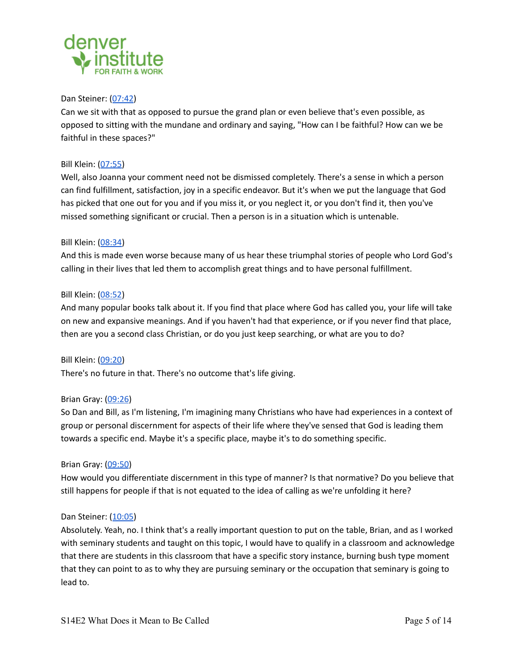

#### Dan Steiner: ([07:42\)](https://www.rev.com/transcript-editor/Edit?token=YK2_bzo2Cj1uKcTnlsJisCzAT3r5G8j8dC2RcM11Xlc__DtZuqUBXcPuOx0AaV1D0jkbozO2xHH14DT8H5QKEz3Mdc4&loadFrom=PastedDeeplink&ts=462.91)

Can we sit with that as opposed to pursue the grand plan or even believe that's even possible, as opposed to sitting with the mundane and ordinary and saying, "How can I be faithful? How can we be faithful in these spaces?"

## Bill Klein: ([07:55](https://www.rev.com/transcript-editor/Edit?token=YK2_bzo2Cj1uKcTnlsJisCzAT3r5G8j8dC2RcM11Xlc__DtZuqUBXcPuOx0AaV1D0jkbozO2xHH14DT8H5QKEz3Mdc4&loadFrom=PastedDeeplink&ts=475.73))

Well, also Joanna your comment need not be dismissed completely. There's a sense in which a person can find fulfillment, satisfaction, joy in a specific endeavor. But it's when we put the language that God has picked that one out for you and if you miss it, or you neglect it, or you don't find it, then you've missed something significant or crucial. Then a person is in a situation which is untenable.

## Bill Klein: ([08:34](https://www.rev.com/transcript-editor/Edit?token=YK2_bzo2Cj1uKcTnlsJisCzAT3r5G8j8dC2RcM11Xlc__DtZuqUBXcPuOx0AaV1D0jkbozO2xHH14DT8H5QKEz3Mdc4&loadFrom=PastedDeeplink&ts=514.85))

And this is made even worse because many of us hear these triumphal stories of people who Lord God's calling in their lives that led them to accomplish great things and to have personal fulfillment.

## Bill Klein: ([08:52](https://www.rev.com/transcript-editor/Edit?token=YK2_bzo2Cj1uKcTnlsJisCzAT3r5G8j8dC2RcM11Xlc__DtZuqUBXcPuOx0AaV1D0jkbozO2xHH14DT8H5QKEz3Mdc4&loadFrom=PastedDeeplink&ts=532.24))

And many popular books talk about it. If you find that place where God has called you, your life will take on new and expansive meanings. And if you haven't had that experience, or if you never find that place, then are you a second class Christian, or do you just keep searching, or what are you to do?

Bill Klein: ([09:20](https://www.rev.com/transcript-editor/Edit?token=YK2_bzo2Cj1uKcTnlsJisCzAT3r5G8j8dC2RcM11Xlc__DtZuqUBXcPuOx0AaV1D0jkbozO2xHH14DT8H5QKEz3Mdc4&loadFrom=PastedDeeplink&ts=560.37)) There's no future in that. There's no outcome that's life giving.

# Brian Gray: [\(09:26](https://www.rev.com/transcript-editor/Edit?token=YK2_bzo2Cj1uKcTnlsJisCzAT3r5G8j8dC2RcM11Xlc__DtZuqUBXcPuOx0AaV1D0jkbozO2xHH14DT8H5QKEz3Mdc4&loadFrom=PastedDeeplink&ts=566.54))

So Dan and Bill, as I'm listening, I'm imagining many Christians who have had experiences in a context of group or personal discernment for aspects of their life where they've sensed that God is leading them towards a specific end. Maybe it's a specific place, maybe it's to do something specific.

#### Brian Gray: [\(09:50](https://www.rev.com/transcript-editor/Edit?token=YK2_bzo2Cj1uKcTnlsJisCzAT3r5G8j8dC2RcM11Xlc__DtZuqUBXcPuOx0AaV1D0jkbozO2xHH14DT8H5QKEz3Mdc4&loadFrom=PastedDeeplink&ts=590.81))

How would you differentiate discernment in this type of manner? Is that normative? Do you believe that still happens for people if that is not equated to the idea of calling as we're unfolding it here?

#### Dan Steiner: ([10:05\)](https://www.rev.com/transcript-editor/Edit?token=YK2_bzo2Cj1uKcTnlsJisCzAT3r5G8j8dC2RcM11Xlc__DtZuqUBXcPuOx0AaV1D0jkbozO2xHH14DT8H5QKEz3Mdc4&loadFrom=PastedDeeplink&ts=605.34)

Absolutely. Yeah, no. I think that's a really important question to put on the table, Brian, and as I worked with seminary students and taught on this topic, I would have to qualify in a classroom and acknowledge that there are students in this classroom that have a specific story instance, burning bush type moment that they can point to as to why they are pursuing seminary or the occupation that seminary is going to lead to.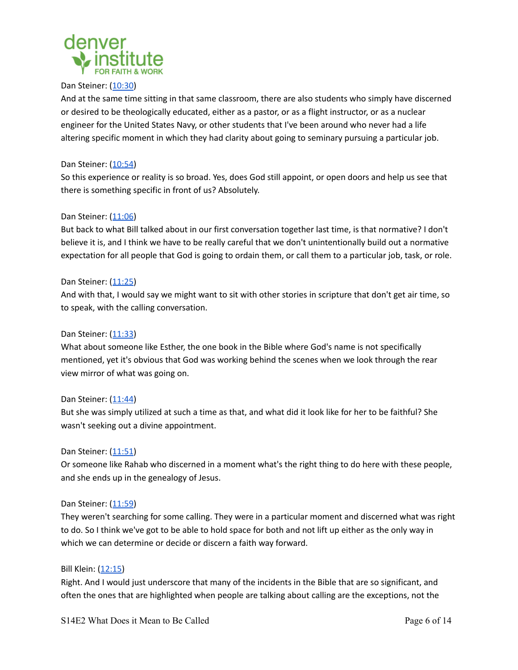

## Dan Steiner: ([10:30\)](https://www.rev.com/transcript-editor/Edit?token=YK2_bzo2Cj1uKcTnlsJisCzAT3r5G8j8dC2RcM11Xlc__DtZuqUBXcPuOx0AaV1D0jkbozO2xHH14DT8H5QKEz3Mdc4&loadFrom=PastedDeeplink&ts=630.99)

And at the same time sitting in that same classroom, there are also students who simply have discerned or desired to be theologically educated, either as a pastor, or as a flight instructor, or as a nuclear engineer for the United States Navy, or other students that I've been around who never had a life altering specific moment in which they had clarity about going to seminary pursuing a particular job.

#### Dan Steiner: ([10:54\)](https://www.rev.com/transcript-editor/Edit?token=YK2_bzo2Cj1uKcTnlsJisCzAT3r5G8j8dC2RcM11Xlc__DtZuqUBXcPuOx0AaV1D0jkbozO2xHH14DT8H5QKEz3Mdc4&loadFrom=PastedDeeplink&ts=654.04)

So this experience or reality is so broad. Yes, does God still appoint, or open doors and help us see that there is something specific in front of us? Absolutely.

## Dan Steiner: ([11:06\)](https://www.rev.com/transcript-editor/Edit?token=YK2_bzo2Cj1uKcTnlsJisCzAT3r5G8j8dC2RcM11Xlc__DtZuqUBXcPuOx0AaV1D0jkbozO2xHH14DT8H5QKEz3Mdc4&loadFrom=PastedDeeplink&ts=666.92)

But back to what Bill talked about in our first conversation together last time, is that normative? I don't believe it is, and I think we have to be really careful that we don't unintentionally build out a normative expectation for all people that God is going to ordain them, or call them to a particular job, task, or role.

## Dan Steiner: ([11:25\)](https://www.rev.com/transcript-editor/Edit?token=YK2_bzo2Cj1uKcTnlsJisCzAT3r5G8j8dC2RcM11Xlc__DtZuqUBXcPuOx0AaV1D0jkbozO2xHH14DT8H5QKEz3Mdc4&loadFrom=PastedDeeplink&ts=685.01)

And with that, I would say we might want to sit with other stories in scripture that don't get air time, so to speak, with the calling conversation.

## Dan Steiner: ([11:33\)](https://www.rev.com/transcript-editor/Edit?token=YK2_bzo2Cj1uKcTnlsJisCzAT3r5G8j8dC2RcM11Xlc__DtZuqUBXcPuOx0AaV1D0jkbozO2xHH14DT8H5QKEz3Mdc4&loadFrom=PastedDeeplink&ts=693.98)

What about someone like Esther, the one book in the Bible where God's name is not specifically mentioned, yet it's obvious that God was working behind the scenes when we look through the rear view mirror of what was going on.

#### Dan Steiner: ([11:44\)](https://www.rev.com/transcript-editor/Edit?token=YK2_bzo2Cj1uKcTnlsJisCzAT3r5G8j8dC2RcM11Xlc__DtZuqUBXcPuOx0AaV1D0jkbozO2xHH14DT8H5QKEz3Mdc4&loadFrom=PastedDeeplink&ts=704.07)

But she was simply utilized at such a time as that, and what did it look like for her to be faithful? She wasn't seeking out a divine appointment.

#### Dan Steiner: ([11:51\)](https://www.rev.com/transcript-editor/Edit?token=YK2_bzo2Cj1uKcTnlsJisCzAT3r5G8j8dC2RcM11Xlc__DtZuqUBXcPuOx0AaV1D0jkbozO2xHH14DT8H5QKEz3Mdc4&loadFrom=PastedDeeplink&ts=711.38)

Or someone like Rahab who discerned in a moment what's the right thing to do here with these people, and she ends up in the genealogy of Jesus.

#### Dan Steiner: ([11:59\)](https://www.rev.com/transcript-editor/Edit?token=YK2_bzo2Cj1uKcTnlsJisCzAT3r5G8j8dC2RcM11Xlc__DtZuqUBXcPuOx0AaV1D0jkbozO2xHH14DT8H5QKEz3Mdc4&loadFrom=PastedDeeplink&ts=719.46)

They weren't searching for some calling. They were in a particular moment and discerned what was right to do. So I think we've got to be able to hold space for both and not lift up either as the only way in which we can determine or decide or discern a faith way forward.

#### Bill Klein: ([12:15](https://www.rev.com/transcript-editor/Edit?token=YK2_bzo2Cj1uKcTnlsJisCzAT3r5G8j8dC2RcM11Xlc__DtZuqUBXcPuOx0AaV1D0jkbozO2xHH14DT8H5QKEz3Mdc4&loadFrom=PastedDeeplink&ts=735.49))

Right. And I would just underscore that many of the incidents in the Bible that are so significant, and often the ones that are highlighted when people are talking about calling are the exceptions, not the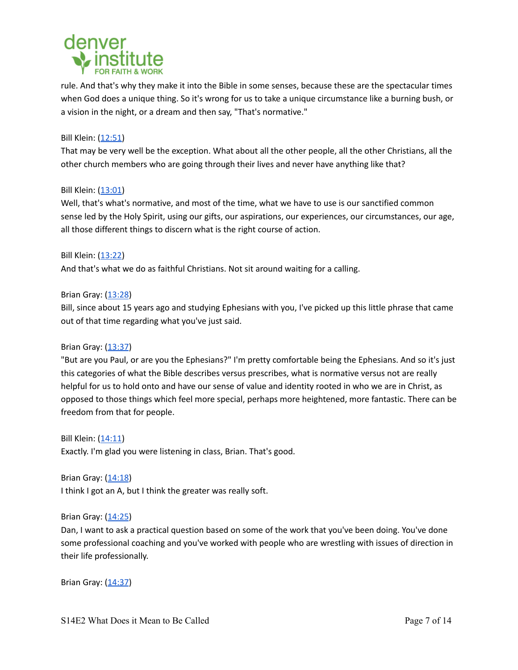

rule. And that's why they make it into the Bible in some senses, because these are the spectacular times when God does a unique thing. So it's wrong for us to take a unique circumstance like a burning bush, or a vision in the night, or a dream and then say, "That's normative."

# Bill Klein: ([12:51](https://www.rev.com/transcript-editor/Edit?token=YK2_bzo2Cj1uKcTnlsJisCzAT3r5G8j8dC2RcM11Xlc__DtZuqUBXcPuOx0AaV1D0jkbozO2xHH14DT8H5QKEz3Mdc4&loadFrom=PastedDeeplink&ts=771.58))

That may be very well be the exception. What about all the other people, all the other Christians, all the other church members who are going through their lives and never have anything like that?

#### Bill Klein: ([13:01](https://www.rev.com/transcript-editor/Edit?token=YK2_bzo2Cj1uKcTnlsJisCzAT3r5G8j8dC2RcM11Xlc__DtZuqUBXcPuOx0AaV1D0jkbozO2xHH14DT8H5QKEz3Mdc4&loadFrom=PastedDeeplink&ts=781.82))

Well, that's what's normative, and most of the time, what we have to use is our sanctified common sense led by the Holy Spirit, using our gifts, our aspirations, our experiences, our circumstances, our age, all those different things to discern what is the right course of action.

Bill Klein: ([13:22](https://www.rev.com/transcript-editor/Edit?token=YK2_bzo2Cj1uKcTnlsJisCzAT3r5G8j8dC2RcM11Xlc__DtZuqUBXcPuOx0AaV1D0jkbozO2xHH14DT8H5QKEz3Mdc4&loadFrom=PastedDeeplink&ts=802.8))

And that's what we do as faithful Christians. Not sit around waiting for a calling.

## Brian Gray: [\(13:28](https://www.rev.com/transcript-editor/Edit?token=YK2_bzo2Cj1uKcTnlsJisCzAT3r5G8j8dC2RcM11Xlc__DtZuqUBXcPuOx0AaV1D0jkbozO2xHH14DT8H5QKEz3Mdc4&loadFrom=PastedDeeplink&ts=808.2))

Bill, since about 15 years ago and studying Ephesians with you, I've picked up this little phrase that came out of that time regarding what you've just said.

#### Brian Gray: [\(13:37](https://www.rev.com/transcript-editor/Edit?token=YK2_bzo2Cj1uKcTnlsJisCzAT3r5G8j8dC2RcM11Xlc__DtZuqUBXcPuOx0AaV1D0jkbozO2xHH14DT8H5QKEz3Mdc4&loadFrom=PastedDeeplink&ts=817.39))

"But are you Paul, or are you the Ephesians?" I'm pretty comfortable being the Ephesians. And so it's just this categories of what the Bible describes versus prescribes, what is normative versus not are really helpful for us to hold onto and have our sense of value and identity rooted in who we are in Christ, as opposed to those things which feel more special, perhaps more heightened, more fantastic. There can be freedom from that for people.

Bill Klein: ([14:11](https://www.rev.com/transcript-editor/Edit?token=YK2_bzo2Cj1uKcTnlsJisCzAT3r5G8j8dC2RcM11Xlc__DtZuqUBXcPuOx0AaV1D0jkbozO2xHH14DT8H5QKEz3Mdc4&loadFrom=PastedDeeplink&ts=851.72)) Exactly. I'm glad you were listening in class, Brian. That's good.

Brian Gray: [\(14:18](https://www.rev.com/transcript-editor/Edit?token=YK2_bzo2Cj1uKcTnlsJisCzAT3r5G8j8dC2RcM11Xlc__DtZuqUBXcPuOx0AaV1D0jkbozO2xHH14DT8H5QKEz3Mdc4&loadFrom=PastedDeeplink&ts=858.48)) I think I got an A, but I think the greater was really soft.

#### Brian Gray: [\(14:25](https://www.rev.com/transcript-editor/Edit?token=YK2_bzo2Cj1uKcTnlsJisCzAT3r5G8j8dC2RcM11Xlc__DtZuqUBXcPuOx0AaV1D0jkbozO2xHH14DT8H5QKEz3Mdc4&loadFrom=PastedDeeplink&ts=865.35))

Dan, I want to ask a practical question based on some of the work that you've been doing. You've done some professional coaching and you've worked with people who are wrestling with issues of direction in their life professionally.

Brian Gray: [\(14:37](https://www.rev.com/transcript-editor/Edit?token=YK2_bzo2Cj1uKcTnlsJisCzAT3r5G8j8dC2RcM11Xlc__DtZuqUBXcPuOx0AaV1D0jkbozO2xHH14DT8H5QKEz3Mdc4&loadFrom=PastedDeeplink&ts=877.22))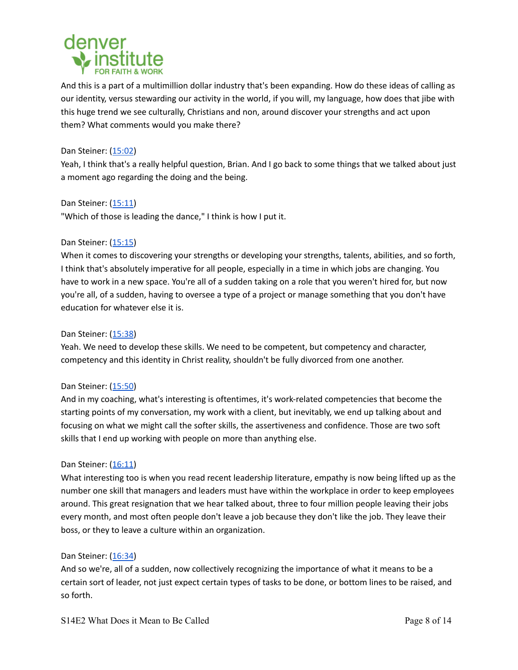

And this is a part of a multimillion dollar industry that's been expanding. How do these ideas of calling as our identity, versus stewarding our activity in the world, if you will, my language, how does that jibe with this huge trend we see culturally, Christians and non, around discover your strengths and act upon them? What comments would you make there?

## Dan Steiner: ([15:02\)](https://www.rev.com/transcript-editor/Edit?token=YK2_bzo2Cj1uKcTnlsJisCzAT3r5G8j8dC2RcM11Xlc__DtZuqUBXcPuOx0AaV1D0jkbozO2xHH14DT8H5QKEz3Mdc4&loadFrom=PastedDeeplink&ts=902.5)

Yeah, I think that's a really helpful question, Brian. And I go back to some things that we talked about just a moment ago regarding the doing and the being.

Dan Steiner: ([15:11\)](https://www.rev.com/transcript-editor/Edit?token=YK2_bzo2Cj1uKcTnlsJisCzAT3r5G8j8dC2RcM11Xlc__DtZuqUBXcPuOx0AaV1D0jkbozO2xHH14DT8H5QKEz3Mdc4&loadFrom=PastedDeeplink&ts=911.97) "Which of those is leading the dance," I think is how I put it.

## Dan Steiner: ([15:15\)](https://www.rev.com/transcript-editor/Edit?token=YK2_bzo2Cj1uKcTnlsJisCzAT3r5G8j8dC2RcM11Xlc__DtZuqUBXcPuOx0AaV1D0jkbozO2xHH14DT8H5QKEz3Mdc4&loadFrom=PastedDeeplink&ts=915.11)

When it comes to discovering your strengths or developing your strengths, talents, abilities, and so forth, I think that's absolutely imperative for all people, especially in a time in which jobs are changing. You have to work in a new space. You're all of a sudden taking on a role that you weren't hired for, but now you're all, of a sudden, having to oversee a type of a project or manage something that you don't have education for whatever else it is.

## Dan Steiner: ([15:38\)](https://www.rev.com/transcript-editor/Edit?token=YK2_bzo2Cj1uKcTnlsJisCzAT3r5G8j8dC2RcM11Xlc__DtZuqUBXcPuOx0AaV1D0jkbozO2xHH14DT8H5QKEz3Mdc4&loadFrom=PastedDeeplink&ts=938.77)

Yeah. We need to develop these skills. We need to be competent, but competency and character, competency and this identity in Christ reality, shouldn't be fully divorced from one another.

#### Dan Steiner: ([15:50\)](https://www.rev.com/transcript-editor/Edit?token=YK2_bzo2Cj1uKcTnlsJisCzAT3r5G8j8dC2RcM11Xlc__DtZuqUBXcPuOx0AaV1D0jkbozO2xHH14DT8H5QKEz3Mdc4&loadFrom=PastedDeeplink&ts=950.13)

And in my coaching, what's interesting is oftentimes, it's work-related competencies that become the starting points of my conversation, my work with a client, but inevitably, we end up talking about and focusing on what we might call the softer skills, the assertiveness and confidence. Those are two soft skills that I end up working with people on more than anything else.

#### Dan Steiner: ([16:11\)](https://www.rev.com/transcript-editor/Edit?token=YK2_bzo2Cj1uKcTnlsJisCzAT3r5G8j8dC2RcM11Xlc__DtZuqUBXcPuOx0AaV1D0jkbozO2xHH14DT8H5QKEz3Mdc4&loadFrom=PastedDeeplink&ts=971.85)

What interesting too is when you read recent leadership literature, empathy is now being lifted up as the number one skill that managers and leaders must have within the workplace in order to keep employees around. This great resignation that we hear talked about, three to four million people leaving their jobs every month, and most often people don't leave a job because they don't like the job. They leave their boss, or they to leave a culture within an organization.

#### Dan Steiner: ([16:34\)](https://www.rev.com/transcript-editor/Edit?token=YK2_bzo2Cj1uKcTnlsJisCzAT3r5G8j8dC2RcM11Xlc__DtZuqUBXcPuOx0AaV1D0jkbozO2xHH14DT8H5QKEz3Mdc4&loadFrom=PastedDeeplink&ts=994.53)

And so we're, all of a sudden, now collectively recognizing the importance of what it means to be a certain sort of leader, not just expect certain types of tasks to be done, or bottom lines to be raised, and so forth.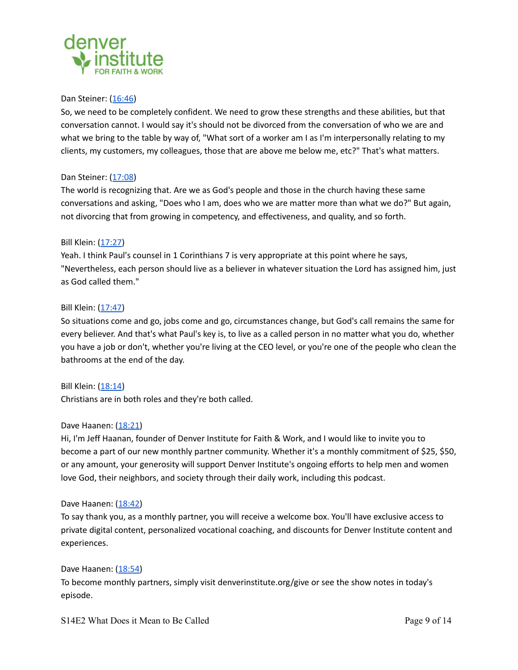

#### Dan Steiner: ([16:46\)](https://www.rev.com/transcript-editor/Edit?token=YK2_bzo2Cj1uKcTnlsJisCzAT3r5G8j8dC2RcM11Xlc__DtZuqUBXcPuOx0AaV1D0jkbozO2xHH14DT8H5QKEz3Mdc4&loadFrom=PastedDeeplink&ts=1006.76)

So, we need to be completely confident. We need to grow these strengths and these abilities, but that conversation cannot. I would say it's should not be divorced from the conversation of who we are and what we bring to the table by way of, "What sort of a worker am I as I'm interpersonally relating to my clients, my customers, my colleagues, those that are above me below me, etc?" That's what matters.

## Dan Steiner: ([17:08\)](https://www.rev.com/transcript-editor/Edit?token=YK2_bzo2Cj1uKcTnlsJisCzAT3r5G8j8dC2RcM11Xlc__DtZuqUBXcPuOx0AaV1D0jkbozO2xHH14DT8H5QKEz3Mdc4&loadFrom=PastedDeeplink&ts=1028.71)

The world is recognizing that. Are we as God's people and those in the church having these same conversations and asking, "Does who I am, does who we are matter more than what we do?" But again, not divorcing that from growing in competency, and effectiveness, and quality, and so forth.

## Bill Klein: ([17:27](https://www.rev.com/transcript-editor/Edit?token=YK2_bzo2Cj1uKcTnlsJisCzAT3r5G8j8dC2RcM11Xlc__DtZuqUBXcPuOx0AaV1D0jkbozO2xHH14DT8H5QKEz3Mdc4&loadFrom=PastedDeeplink&ts=1047.98))

Yeah. I think Paul's counsel in 1 Corinthians 7 is very appropriate at this point where he says, "Nevertheless, each person should live as a believer in whatever situation the Lord has assigned him, just as God called them."

## Bill Klein: ([17:47](https://www.rev.com/transcript-editor/Edit?token=YK2_bzo2Cj1uKcTnlsJisCzAT3r5G8j8dC2RcM11Xlc__DtZuqUBXcPuOx0AaV1D0jkbozO2xHH14DT8H5QKEz3Mdc4&loadFrom=PastedDeeplink&ts=1067.05))

So situations come and go, jobs come and go, circumstances change, but God's call remains the same for every believer. And that's what Paul's key is, to live as a called person in no matter what you do, whether you have a job or don't, whether you're living at the CEO level, or you're one of the people who clean the bathrooms at the end of the day.

Bill Klein: ([18:14](https://www.rev.com/transcript-editor/Edit?token=YK2_bzo2Cj1uKcTnlsJisCzAT3r5G8j8dC2RcM11Xlc__DtZuqUBXcPuOx0AaV1D0jkbozO2xHH14DT8H5QKEz3Mdc4&loadFrom=PastedDeeplink&ts=1094.5)) Christians are in both roles and they're both called.

#### Dave Haanen: ([18:21](https://www.rev.com/transcript-editor/Edit?token=YK2_bzo2Cj1uKcTnlsJisCzAT3r5G8j8dC2RcM11Xlc__DtZuqUBXcPuOx0AaV1D0jkbozO2xHH14DT8H5QKEz3Mdc4&loadFrom=PastedDeeplink&ts=1101.4))

Hi, I'm Jeff Haanan, founder of Denver Institute for Faith & Work, and I would like to invite you to become a part of our new monthly partner community. Whether it's a monthly commitment of \$25, \$50, or any amount, your generosity will support Denver Institute's ongoing efforts to help men and women love God, their neighbors, and society through their daily work, including this podcast.

#### Dave Haanen: ([18:42](https://www.rev.com/transcript-editor/Edit?token=YK2_bzo2Cj1uKcTnlsJisCzAT3r5G8j8dC2RcM11Xlc__DtZuqUBXcPuOx0AaV1D0jkbozO2xHH14DT8H5QKEz3Mdc4&loadFrom=PastedDeeplink&ts=1122.73))

To say thank you, as a monthly partner, you will receive a welcome box. You'll have exclusive access to private digital content, personalized vocational coaching, and discounts for Denver Institute content and experiences.

Dave Haanen: ([18:54](https://www.rev.com/transcript-editor/Edit?token=YK2_bzo2Cj1uKcTnlsJisCzAT3r5G8j8dC2RcM11Xlc__DtZuqUBXcPuOx0AaV1D0jkbozO2xHH14DT8H5QKEz3Mdc4&loadFrom=PastedDeeplink&ts=1134.71)) To become monthly partners, simply visit denverinstitute.org/give or see the show notes in today's episode.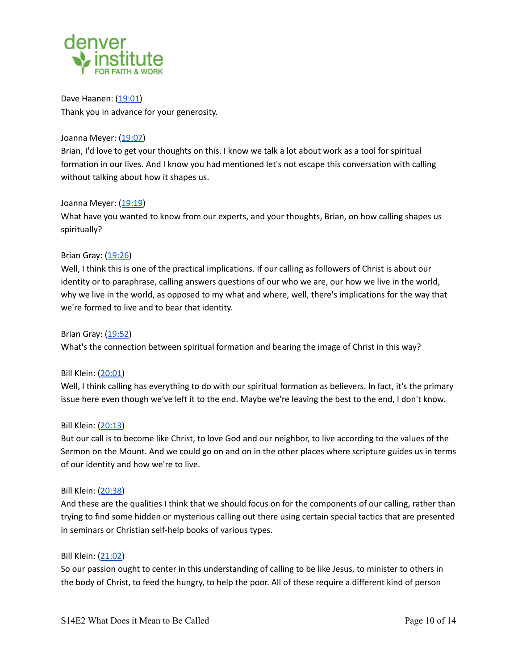

Dave Haanen: ([19:01](https://www.rev.com/transcript-editor/Edit?token=YK2_bzo2Cj1uKcTnlsJisCzAT3r5G8j8dC2RcM11Xlc__DtZuqUBXcPuOx0AaV1D0jkbozO2xHH14DT8H5QKEz3Mdc4&loadFrom=PastedDeeplink&ts=1141)) Thank you in advance for your generosity.

## Joanna Meyer: ([19:07\)](https://www.rev.com/transcript-editor/Edit?token=YK2_bzo2Cj1uKcTnlsJisCzAT3r5G8j8dC2RcM11Xlc__DtZuqUBXcPuOx0AaV1D0jkbozO2xHH14DT8H5QKEz3Mdc4&loadFrom=PastedDeeplink&ts=1147.21)

Brian, I'd love to get your thoughts on this. I know we talk a lot about work as a tool for spiritual formation in our lives. And I know you had mentioned let's not escape this conversation with calling without talking about how it shapes us.

## Joanna Meyer: ([19:19\)](https://www.rev.com/transcript-editor/Edit?token=YK2_bzo2Cj1uKcTnlsJisCzAT3r5G8j8dC2RcM11Xlc__DtZuqUBXcPuOx0AaV1D0jkbozO2xHH14DT8H5QKEz3Mdc4&loadFrom=PastedDeeplink&ts=1159.65)

What have you wanted to know from our experts, and your thoughts, Brian, on how calling shapes us spiritually?

## Brian Gray: [\(19:26](https://www.rev.com/transcript-editor/Edit?token=YK2_bzo2Cj1uKcTnlsJisCzAT3r5G8j8dC2RcM11Xlc__DtZuqUBXcPuOx0AaV1D0jkbozO2xHH14DT8H5QKEz3Mdc4&loadFrom=PastedDeeplink&ts=1166.94))

Well, I think this is one of the practical implications. If our calling as followers of Christ is about our identity or to paraphrase, calling answers questions of our who we are, our how we live in the world, why we live in the world, as opposed to my what and where, well, there's implications for the way that we're formed to live and to bear that identity.

Brian Gray: [\(19:52](https://www.rev.com/transcript-editor/Edit?token=YK2_bzo2Cj1uKcTnlsJisCzAT3r5G8j8dC2RcM11Xlc__DtZuqUBXcPuOx0AaV1D0jkbozO2xHH14DT8H5QKEz3Mdc4&loadFrom=PastedDeeplink&ts=1192.26)) What's the connection between spiritual formation and bearing the image of Christ in this way?

#### Bill Klein: ([20:01](https://www.rev.com/transcript-editor/Edit?token=YK2_bzo2Cj1uKcTnlsJisCzAT3r5G8j8dC2RcM11Xlc__DtZuqUBXcPuOx0AaV1D0jkbozO2xHH14DT8H5QKEz3Mdc4&loadFrom=PastedDeeplink&ts=1201.15))

Well, I think calling has everything to do with our spiritual formation as believers. In fact, it's the primary issue here even though we've left it to the end. Maybe we're leaving the best to the end, I don't know.

#### Bill Klein: ([20:13](https://www.rev.com/transcript-editor/Edit?token=YK2_bzo2Cj1uKcTnlsJisCzAT3r5G8j8dC2RcM11Xlc__DtZuqUBXcPuOx0AaV1D0jkbozO2xHH14DT8H5QKEz3Mdc4&loadFrom=PastedDeeplink&ts=1213.75))

But our call is to become like Christ, to love God and our neighbor, to live according to the values of the Sermon on the Mount. And we could go on and on in the other places where scripture guides us in terms of our identity and how we're to live.

#### Bill Klein: ([20:38](https://www.rev.com/transcript-editor/Edit?token=YK2_bzo2Cj1uKcTnlsJisCzAT3r5G8j8dC2RcM11Xlc__DtZuqUBXcPuOx0AaV1D0jkbozO2xHH14DT8H5QKEz3Mdc4&loadFrom=PastedDeeplink&ts=1238.34))

And these are the qualities I think that we should focus on for the components of our calling, rather than trying to find some hidden or mysterious calling out there using certain special tactics that are presented in seminars or Christian self-help books of various types.

#### Bill Klein: ([21:02](https://www.rev.com/transcript-editor/Edit?token=YK2_bzo2Cj1uKcTnlsJisCzAT3r5G8j8dC2RcM11Xlc__DtZuqUBXcPuOx0AaV1D0jkbozO2xHH14DT8H5QKEz3Mdc4&loadFrom=PastedDeeplink&ts=1262.67))

So our passion ought to center in this understanding of calling to be like Jesus, to minister to others in the body of Christ, to feed the hungry, to help the poor. All of these require a different kind of person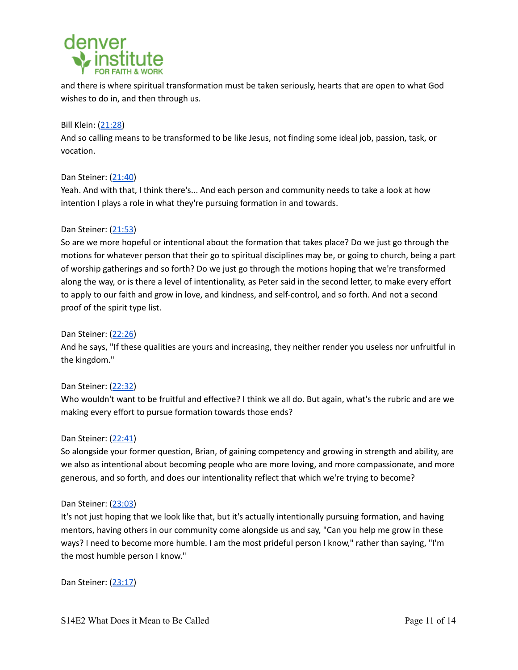

and there is where spiritual transformation must be taken seriously, hearts that are open to what God wishes to do in, and then through us.

# Bill Klein: ([21:28](https://www.rev.com/transcript-editor/Edit?token=YK2_bzo2Cj1uKcTnlsJisCzAT3r5G8j8dC2RcM11Xlc__DtZuqUBXcPuOx0AaV1D0jkbozO2xHH14DT8H5QKEz3Mdc4&loadFrom=PastedDeeplink&ts=1288.67))

And so calling means to be transformed to be like Jesus, not finding some ideal job, passion, task, or vocation.

# Dan Steiner: ([21:40\)](https://www.rev.com/transcript-editor/Edit?token=YK2_bzo2Cj1uKcTnlsJisCzAT3r5G8j8dC2RcM11Xlc__DtZuqUBXcPuOx0AaV1D0jkbozO2xHH14DT8H5QKEz3Mdc4&loadFrom=PastedDeeplink&ts=1300.81)

Yeah. And with that, I think there's... And each person and community needs to take a look at how intention I plays a role in what they're pursuing formation in and towards.

# Dan Steiner: ([21:53\)](https://www.rev.com/transcript-editor/Edit?token=YK2_bzo2Cj1uKcTnlsJisCzAT3r5G8j8dC2RcM11Xlc__DtZuqUBXcPuOx0AaV1D0jkbozO2xHH14DT8H5QKEz3Mdc4&loadFrom=PastedDeeplink&ts=1313.15)

So are we more hopeful or intentional about the formation that takes place? Do we just go through the motions for whatever person that their go to spiritual disciplines may be, or going to church, being a part of worship gatherings and so forth? Do we just go through the motions hoping that we're transformed along the way, or is there a level of intentionality, as Peter said in the second letter, to make every effort to apply to our faith and grow in love, and kindness, and self-control, and so forth. And not a second proof of the spirit type list.

## Dan Steiner: ([22:26\)](https://www.rev.com/transcript-editor/Edit?token=YK2_bzo2Cj1uKcTnlsJisCzAT3r5G8j8dC2RcM11Xlc__DtZuqUBXcPuOx0AaV1D0jkbozO2xHH14DT8H5QKEz3Mdc4&loadFrom=PastedDeeplink&ts=1346.6)

And he says, "If these qualities are yours and increasing, they neither render you useless nor unfruitful in the kingdom."

# Dan Steiner: ([22:32\)](https://www.rev.com/transcript-editor/Edit?token=YK2_bzo2Cj1uKcTnlsJisCzAT3r5G8j8dC2RcM11Xlc__DtZuqUBXcPuOx0AaV1D0jkbozO2xHH14DT8H5QKEz3Mdc4&loadFrom=PastedDeeplink&ts=1352.61)

Who wouldn't want to be fruitful and effective? I think we all do. But again, what's the rubric and are we making every effort to pursue formation towards those ends?

#### Dan Steiner: ([22:41\)](https://www.rev.com/transcript-editor/Edit?token=YK2_bzo2Cj1uKcTnlsJisCzAT3r5G8j8dC2RcM11Xlc__DtZuqUBXcPuOx0AaV1D0jkbozO2xHH14DT8H5QKEz3Mdc4&loadFrom=PastedDeeplink&ts=1361.9)

So alongside your former question, Brian, of gaining competency and growing in strength and ability, are we also as intentional about becoming people who are more loving, and more compassionate, and more generous, and so forth, and does our intentionality reflect that which we're trying to become?

#### Dan Steiner: ([23:03\)](https://www.rev.com/transcript-editor/Edit?token=YK2_bzo2Cj1uKcTnlsJisCzAT3r5G8j8dC2RcM11Xlc__DtZuqUBXcPuOx0AaV1D0jkbozO2xHH14DT8H5QKEz3Mdc4&loadFrom=PastedDeeplink&ts=1383.06)

It's not just hoping that we look like that, but it's actually intentionally pursuing formation, and having mentors, having others in our community come alongside us and say, "Can you help me grow in these ways? I need to become more humble. I am the most prideful person I know," rather than saying, "I'm the most humble person I know."

Dan Steiner: ([23:17\)](https://www.rev.com/transcript-editor/Edit?token=YK2_bzo2Cj1uKcTnlsJisCzAT3r5G8j8dC2RcM11Xlc__DtZuqUBXcPuOx0AaV1D0jkbozO2xHH14DT8H5QKEz3Mdc4&loadFrom=PastedDeeplink&ts=1397.94)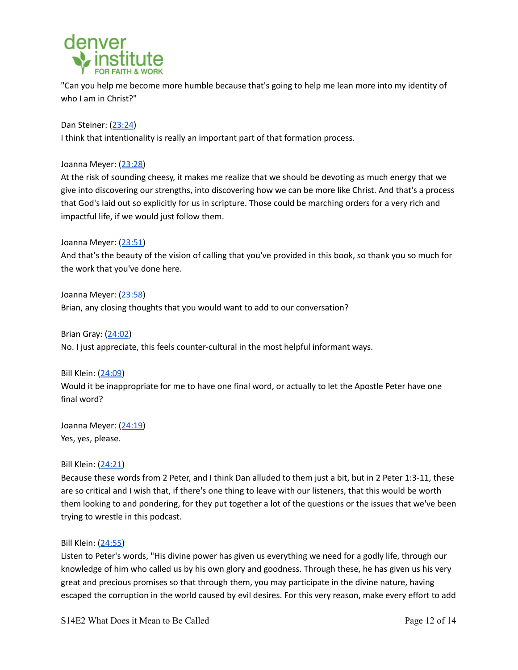

"Can you help me become more humble because that's going to help me lean more into my identity of who I am in Christ?"

Dan Steiner: ([23:24\)](https://www.rev.com/transcript-editor/Edit?token=YK2_bzo2Cj1uKcTnlsJisCzAT3r5G8j8dC2RcM11Xlc__DtZuqUBXcPuOx0AaV1D0jkbozO2xHH14DT8H5QKEz3Mdc4&loadFrom=PastedDeeplink&ts=1404.76) I think that intentionality is really an important part of that formation process.

Joanna Meyer: ([23:28\)](https://www.rev.com/transcript-editor/Edit?token=YK2_bzo2Cj1uKcTnlsJisCzAT3r5G8j8dC2RcM11Xlc__DtZuqUBXcPuOx0AaV1D0jkbozO2xHH14DT8H5QKEz3Mdc4&loadFrom=PastedDeeplink&ts=1408.92)

At the risk of sounding cheesy, it makes me realize that we should be devoting as much energy that we give into discovering our strengths, into discovering how we can be more like Christ. And that's a process that God's laid out so explicitly for us in scripture. Those could be marching orders for a very rich and impactful life, if we would just follow them.

Joanna Meyer: ([23:51\)](https://www.rev.com/transcript-editor/Edit?token=YK2_bzo2Cj1uKcTnlsJisCzAT3r5G8j8dC2RcM11Xlc__DtZuqUBXcPuOx0AaV1D0jkbozO2xHH14DT8H5QKEz3Mdc4&loadFrom=PastedDeeplink&ts=1431.43)

And that's the beauty of the vision of calling that you've provided in this book, so thank you so much for the work that you've done here.

Joanna Meyer: ([23:58\)](https://www.rev.com/transcript-editor/Edit?token=YK2_bzo2Cj1uKcTnlsJisCzAT3r5G8j8dC2RcM11Xlc__DtZuqUBXcPuOx0AaV1D0jkbozO2xHH14DT8H5QKEz3Mdc4&loadFrom=PastedDeeplink&ts=1438.99) Brian, any closing thoughts that you would want to add to our conversation?

Brian Gray: [\(24:02](https://www.rev.com/transcript-editor/Edit?token=YK2_bzo2Cj1uKcTnlsJisCzAT3r5G8j8dC2RcM11Xlc__DtZuqUBXcPuOx0AaV1D0jkbozO2xHH14DT8H5QKEz3Mdc4&loadFrom=PastedDeeplink&ts=1442.12)) No. I just appreciate, this feels counter-cultural in the most helpful informant ways.

Bill Klein: ([24:09](https://www.rev.com/transcript-editor/Edit?token=YK2_bzo2Cj1uKcTnlsJisCzAT3r5G8j8dC2RcM11Xlc__DtZuqUBXcPuOx0AaV1D0jkbozO2xHH14DT8H5QKEz3Mdc4&loadFrom=PastedDeeplink&ts=1449.83)) Would it be inappropriate for me to have one final word, or actually to let the Apostle Peter have one final word?

Joanna Meyer: ([24:19\)](https://www.rev.com/transcript-editor/Edit?token=YK2_bzo2Cj1uKcTnlsJisCzAT3r5G8j8dC2RcM11Xlc__DtZuqUBXcPuOx0AaV1D0jkbozO2xHH14DT8H5QKEz3Mdc4&loadFrom=PastedDeeplink&ts=1459.4) Yes, yes, please.

Bill Klein: ([24:21](https://www.rev.com/transcript-editor/Edit?token=YK2_bzo2Cj1uKcTnlsJisCzAT3r5G8j8dC2RcM11Xlc__DtZuqUBXcPuOx0AaV1D0jkbozO2xHH14DT8H5QKEz3Mdc4&loadFrom=PastedDeeplink&ts=1461.89))

Because these words from 2 Peter, and I think Dan alluded to them just a bit, but in 2 Peter 1:3-11, these are so critical and I wish that, if there's one thing to leave with our listeners, that this would be worth them looking to and pondering, for they put together a lot of the questions or the issues that we've been trying to wrestle in this podcast.

# Bill Klein: ([24:55](https://www.rev.com/transcript-editor/Edit?token=YK2_bzo2Cj1uKcTnlsJisCzAT3r5G8j8dC2RcM11Xlc__DtZuqUBXcPuOx0AaV1D0jkbozO2xHH14DT8H5QKEz3Mdc4&loadFrom=PastedDeeplink&ts=1495.12))

Listen to Peter's words, "His divine power has given us everything we need for a godly life, through our knowledge of him who called us by his own glory and goodness. Through these, he has given us his very great and precious promises so that through them, you may participate in the divine nature, having escaped the corruption in the world caused by evil desires. For this very reason, make every effort to add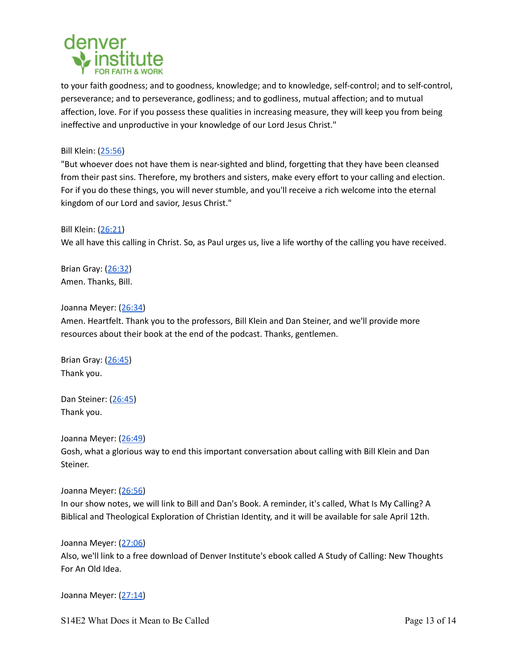

to your faith goodness; and to goodness, knowledge; and to knowledge, self-control; and to self-control, perseverance; and to perseverance, godliness; and to godliness, mutual affection; and to mutual affection, love. For if you possess these qualities in increasing measure, they will keep you from being ineffective and unproductive in your knowledge of our Lord Jesus Christ."

# Bill Klein: ([25:56](https://www.rev.com/transcript-editor/Edit?token=YK2_bzo2Cj1uKcTnlsJisCzAT3r5G8j8dC2RcM11Xlc__DtZuqUBXcPuOx0AaV1D0jkbozO2xHH14DT8H5QKEz3Mdc4&loadFrom=PastedDeeplink&ts=1556.26))

"But whoever does not have them is near-sighted and blind, forgetting that they have been cleansed from their past sins. Therefore, my brothers and sisters, make every effort to your calling and election. For if you do these things, you will never stumble, and you'll receive a rich welcome into the eternal kingdom of our Lord and savior, Jesus Christ."

## Bill Klein: ([26:21](https://www.rev.com/transcript-editor/Edit?token=YK2_bzo2Cj1uKcTnlsJisCzAT3r5G8j8dC2RcM11Xlc__DtZuqUBXcPuOx0AaV1D0jkbozO2xHH14DT8H5QKEz3Mdc4&loadFrom=PastedDeeplink&ts=1581.67))

We all have this calling in Christ. So, as Paul urges us, live a life worthy of the calling you have received.

Brian Gray: [\(26:32](https://www.rev.com/transcript-editor/Edit?token=YK2_bzo2Cj1uKcTnlsJisCzAT3r5G8j8dC2RcM11Xlc__DtZuqUBXcPuOx0AaV1D0jkbozO2xHH14DT8H5QKEz3Mdc4&loadFrom=PastedDeeplink&ts=1592.43)) Amen. Thanks, Bill.

## Joanna Meyer: ([26:34\)](https://www.rev.com/transcript-editor/Edit?token=YK2_bzo2Cj1uKcTnlsJisCzAT3r5G8j8dC2RcM11Xlc__DtZuqUBXcPuOx0AaV1D0jkbozO2xHH14DT8H5QKEz3Mdc4&loadFrom=PastedDeeplink&ts=1594.2)

Amen. Heartfelt. Thank you to the professors, Bill Klein and Dan Steiner, and we'll provide more resources about their book at the end of the podcast. Thanks, gentlemen.

Brian Gray: [\(26:45](https://www.rev.com/transcript-editor/Edit?token=YK2_bzo2Cj1uKcTnlsJisCzAT3r5G8j8dC2RcM11Xlc__DtZuqUBXcPuOx0AaV1D0jkbozO2xHH14DT8H5QKEz3Mdc4&loadFrom=PastedDeeplink&ts=1605.48)) Thank you.

Dan Steiner: ([26:45\)](https://www.rev.com/transcript-editor/Edit?token=YK2_bzo2Cj1uKcTnlsJisCzAT3r5G8j8dC2RcM11Xlc__DtZuqUBXcPuOx0AaV1D0jkbozO2xHH14DT8H5QKEz3Mdc4&loadFrom=PastedDeeplink&ts=1605.54) Thank you.

#### Joanna Meyer: ([26:49\)](https://www.rev.com/transcript-editor/Edit?token=YK2_bzo2Cj1uKcTnlsJisCzAT3r5G8j8dC2RcM11Xlc__DtZuqUBXcPuOx0AaV1D0jkbozO2xHH14DT8H5QKEz3Mdc4&loadFrom=PastedDeeplink&ts=1609.2)

Gosh, what a glorious way to end this important conversation about calling with Bill Klein and Dan Steiner.

#### Joanna Meyer: ([26:56\)](https://www.rev.com/transcript-editor/Edit?token=YK2_bzo2Cj1uKcTnlsJisCzAT3r5G8j8dC2RcM11Xlc__DtZuqUBXcPuOx0AaV1D0jkbozO2xHH14DT8H5QKEz3Mdc4&loadFrom=PastedDeeplink&ts=1616.53)

In our show notes, we will link to Bill and Dan's Book. A reminder, it's called, What Is My Calling? A Biblical and Theological Exploration of Christian Identity, and it will be available for sale April 12th.

#### Joanna Meyer: ([27:06\)](https://www.rev.com/transcript-editor/Edit?token=YK2_bzo2Cj1uKcTnlsJisCzAT3r5G8j8dC2RcM11Xlc__DtZuqUBXcPuOx0AaV1D0jkbozO2xHH14DT8H5QKEz3Mdc4&loadFrom=PastedDeeplink&ts=1626.97)

Also, we'll link to a free download of Denver Institute's ebook called A Study of Calling: New Thoughts For An Old Idea.

Joanna Meyer: ([27:14\)](https://www.rev.com/transcript-editor/Edit?token=YK2_bzo2Cj1uKcTnlsJisCzAT3r5G8j8dC2RcM11Xlc__DtZuqUBXcPuOx0AaV1D0jkbozO2xHH14DT8H5QKEz3Mdc4&loadFrom=PastedDeeplink&ts=1634.93)